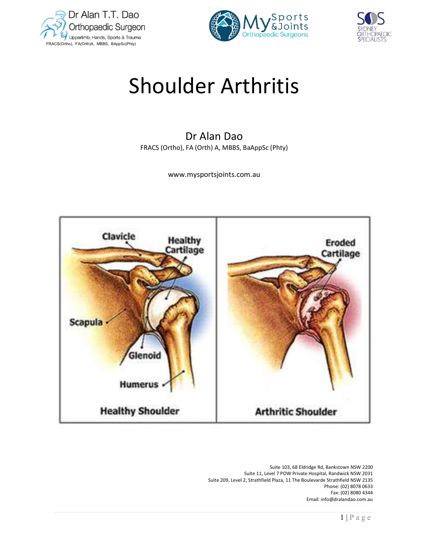





# Shoulder Arthritis

# Dr Alan Dao FRACS (Ortho), FA (Orth) A, MBBS, BaAppSc (Phty)

www.mysportsjoints.com.au



 Suite 103, 68 Eldridge Rd, Bankstown NSW 2200 Suite 11, Level 7 POW Private Hospital, Randwick NSW 2031 Suite 209, Level 2, Strathfield Plaza, 11 The Boulevarde Strathfield NSW 2135 Phone: (02) 8078 0633 Fax: (02) 8080 4344 Email: info@dralandao.com.au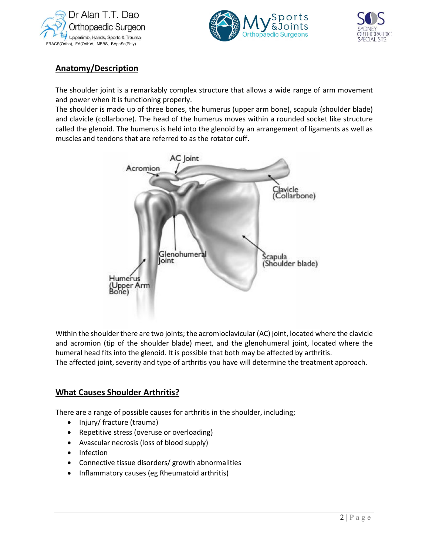





# Anatomy/Description

The shoulder joint is a remarkably complex structure that allows a wide range of arm movement and power when it is functioning properly.

The shoulder is made up of three bones, the humerus (upper arm bone), scapula (shoulder blade) and clavicle (collarbone). The head of the humerus moves within a rounded socket like structure called the glenoid. The humerus is held into the glenoid by an arrangement of ligaments as well as muscles and tendons that are referred to as the rotator cuff.



where the<br>pproach.<br> $\frac{1}{2 |P \text{ a } g e}$ Within the shoulder there are two joints; the acromioclavicular (AC) joint, located where the clavicle and acromion (tip of the shoulder blade) meet, and the glenohumeral joint, located where the humeral head fits into the glenoid. It is possible that both may be affected by arthritis. The affected joint, severity and type of arthritis you have will determine the treatment approach.

## What Causes Shoulder Arthritis?

There are a range of possible causes for arthritis in the shoulder, including;

- Injury/ fracture (trauma)
- Repetitive stress (overuse or overloading)
- Avascular necrosis (loss of blood supply)
- Infection
- Connective tissue disorders/ growth abnormalities
- Inflammatory causes (eg Rheumatoid arthritis)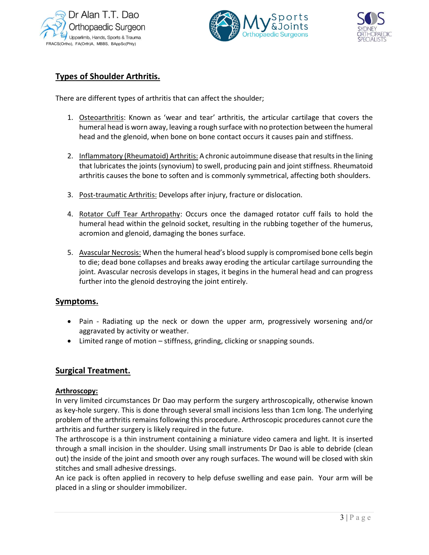





# Types of Shoulder Arthritis.

There are different types of arthritis that can affect the shoulder;

- 1. Osteoarthritis: Known as 'wear and tear' arthritis, the articular cartilage that covers the humeral head is worn away, leaving a rough surface with no protection between the humeral head and the glenoid, when bone on bone contact occurs it causes pain and stiffness.
- 2. Inflammatory (Rheumatoid) Arthritis: A chronic autoimmune disease that results in the lining that lubricates the joints (synovium) to swell, producing pain and joint stiffness. Rheumatoid arthritis causes the bone to soften and is commonly symmetrical, affecting both shoulders.
- 3. Post-traumatic Arthritis: Develops after injury, fracture or dislocation.
- 4. Rotator Cuff Tear Arthropathy: Occurs once the damaged rotator cuff fails to hold the humeral head within the gelnoid socket, resulting in the rubbing together of the humerus, acromion and glenoid, damaging the bones surface.
- 5. Avascular Necrosis: When the humeral head's blood supply is compromised bone cells begin to die; dead bone collapses and breaks away eroding the articular cartilage surrounding the joint. Avascular necrosis develops in stages, it begins in the humeral head and can progress further into the glenoid destroying the joint entirely.

## Symptoms.

- Pain Radiating up the neck or down the upper arm, progressively worsening and/or aggravated by activity or weather.
- Limited range of motion stiffness, grinding, clicking or snapping sounds.

## Surgical Treatment.

#### Arthroscopy:

ise known<br>underlying<br>ot cure the<br>is inserted<br>ride (clean<br>d with skin<br>rm will be<br> $\frac{1}{3 | P a g e}$ In very limited circumstances Dr Dao may perform the surgery arthroscopically, otherwise known as key-hole surgery. This is done through several small incisions less than 1cm long. The underlying problem of the arthritis remains following this procedure. Arthroscopic procedures cannot cure the arthritis and further surgery is likely required in the future.

The arthroscope is a thin instrument containing a miniature video camera and light. It is inserted through a small incision in the shoulder. Using small instruments Dr Dao is able to debride (clean out) the inside of the joint and smooth over any rough surfaces. The wound will be closed with skin stitches and small adhesive dressings.

An ice pack is often applied in recovery to help defuse swelling and ease pain. Your arm will be placed in a sling or shoulder immobilizer.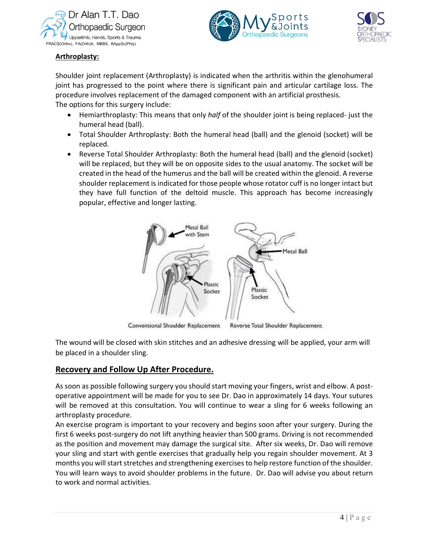





#### Arthroplasty:

Shoulder joint replacement (Arthroplasty) is indicated when the arthritis within the glenohumeral joint has progressed to the point where there is significant pain and articular cartilage loss. The procedure involves replacement of the damaged component with an artificial prosthesis. The options for this surgery include:

- Hemiarthroplasty: This means that only half of the shoulder joint is being replaced- just the humeral head (ball).
- Total Shoulder Arthroplasty: Both the humeral head (ball) and the glenoid (socket) will be replaced.
- Reverse Total Shoulder Arthroplasty: Both the humeral head (ball) and the glenoid (socket) will be replaced, but they will be on opposite sides to the usual anatomy. The socket will be created in the head of the humerus and the ball will be created within the glenoid. A reverse shoulder replacement is indicated for those people whose rotator cuff is no longer intact but they have full function of the deltoid muscle. This approach has become increasingly popular, effective and longer lasting.



Conventional Shoulder Replacement Reverse Total Shoulder Replacement

The wound will be closed with skin stitches and an adhesive dressing will be applied, your arm will be placed in a shoulder sling.

## Recovery and Follow Up After Procedure.

As soon as possible following surgery you should start moving your fingers, wrist and elbow. A postoperative appointment will be made for you to see Dr. Dao in approximately 14 days. Your sutures will be removed at this consultation. You will continue to wear a sling for 6 weeks following an arthroplasty procedure.

r arm will<br>w. A post-<br>ur sutures<br>llowing an<br>During the<br>mmended<br>ill remove<br>ment. At 3<br>shoulder.<br>out return<br> $\overline{4 | P a g e}$ An exercise program is important to your recovery and begins soon after your surgery. During the first 6 weeks post-surgery do not lift anything heavier than 500 grams. Driving is not recommended as the position and movement may damage the surgical site. After six weeks, Dr. Dao will remove your sling and start with gentle exercises that gradually help you regain shoulder movement. At 3 months you will start stretches and strengthening exercises to help restore function of the shoulder. You will learn ways to avoid shoulder problems in the future. Dr. Dao will advise you about return to work and normal activities.